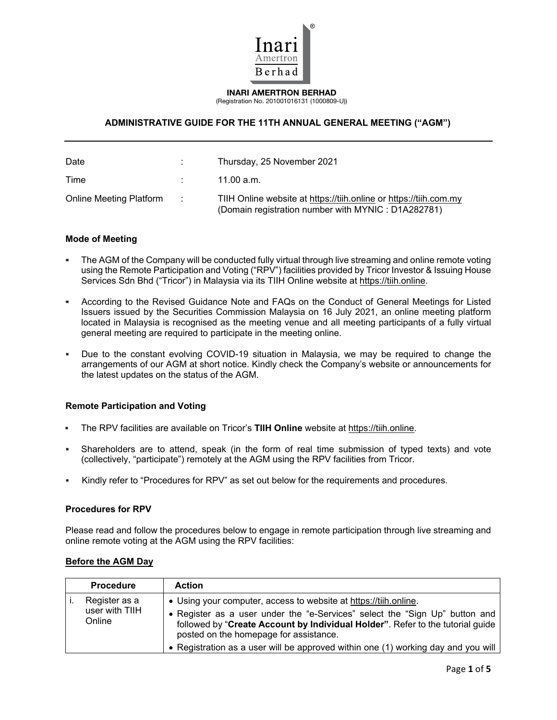

INARI AMERTRON BERHAD (Registration No. 201001016131 (1000809-U))

# **ADMINISTRATIVE GUIDE FOR THE 11TH ANNUAL GENERAL MEETING ("AGM")**

| Date                    |                   | Thursday, 25 November 2021                                                                                               |
|-------------------------|-------------------|--------------------------------------------------------------------------------------------------------------------------|
| Time                    |                   | 11.00 a.m.                                                                                                               |
| Online Meeting Platform | <b>Contractor</b> | TIIH Online website at https://tiih.online or https://tiih.com.my<br>(Domain registration number with MYNIC : D1A282781) |

#### **Mode of Meeting**

- The AGM of the Company will be conducted fully virtual through live streaming and online remote voting using the Remote Participation and Voting ("RPV") facilities provided by Tricor Investor & Issuing House Services Sdn Bhd ("Tricor") in Malaysia via its TIIH Online website at https://tiih.online.
- According to the Revised Guidance Note and FAQs on the Conduct of General Meetings for Listed Issuers issued by the Securities Commission Malaysia on 16 July 2021, an online meeting platform located in Malaysia is recognised as the meeting venue and all meeting participants of a fully virtual general meeting are required to participate in the meeting online.
- Due to the constant evolving COVID-19 situation in Malaysia, we may be required to change the arrangements of our AGM at short notice. Kindly check the Company's website or announcements for the latest updates on the status of the AGM.

### **Remote Participation and Voting**

- The RPV facilities are available on Tricor's **TIIH Online** website at https://tiih.online.
- Shareholders are to attend, speak (in the form of real time submission of typed texts) and vote (collectively, "participate") remotely at the AGM using the RPV facilities from Tricor.
- Kindly refer to "Procedures for RPV" as set out below for the requirements and procedures.

### **Procedures for RPV**

Please read and follow the procedures below to engage in remote participation through live streaming and online remote voting at the AGM using the RPV facilities:

| <b>Procedure</b>                          | <b>Action</b>                                                                                                                                                                                                                                                                                                                                                    |
|-------------------------------------------|------------------------------------------------------------------------------------------------------------------------------------------------------------------------------------------------------------------------------------------------------------------------------------------------------------------------------------------------------------------|
| Register as a<br>user with TIIH<br>Online | • Using your computer, access to website at https://tiih.online.<br>• Register as a user under the "e-Services" select the "Sign Up" button and<br>followed by "Create Account by Individual Holder". Refer to the tutorial guide<br>posted on the homepage for assistance.<br>• Registration as a user will be approved within one (1) working day and you will |

# **Before the AGM Day**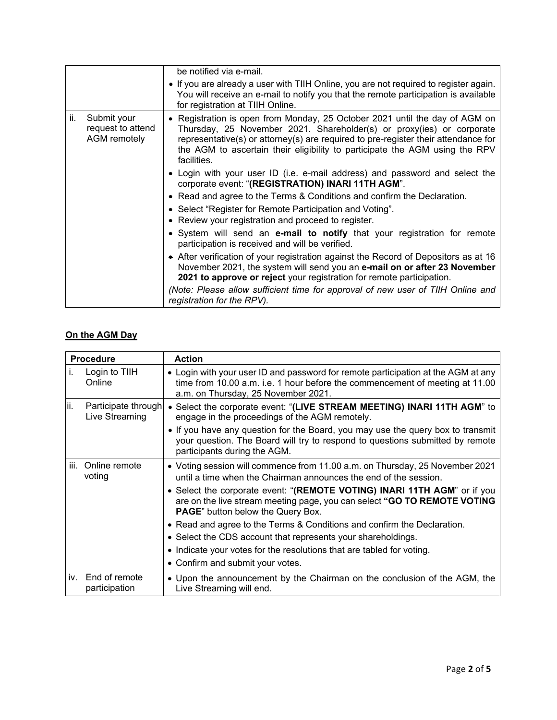|     |                                                  | be notified via e-mail.                                                                                                                                                                                                                                                                                                                  |
|-----|--------------------------------------------------|------------------------------------------------------------------------------------------------------------------------------------------------------------------------------------------------------------------------------------------------------------------------------------------------------------------------------------------|
|     |                                                  | • If you are already a user with TIIH Online, you are not required to register again.<br>You will receive an e-mail to notify you that the remote participation is available<br>for registration at TIIH Online.                                                                                                                         |
| ii. | Submit your<br>request to attend<br>AGM remotely | • Registration is open from Monday, 25 October 2021 until the day of AGM on<br>Thursday, 25 November 2021. Shareholder(s) or proxy(ies) or corporate<br>representative(s) or attorney(s) are required to pre-register their attendance for<br>the AGM to ascertain their eligibility to participate the AGM using the RPV<br>facilities. |
|     |                                                  | • Login with your user ID (i.e. e-mail address) and password and select the<br>corporate event: "(REGISTRATION) INARI 11TH AGM".                                                                                                                                                                                                         |
|     |                                                  | • Read and agree to the Terms & Conditions and confirm the Declaration.                                                                                                                                                                                                                                                                  |
|     |                                                  | • Select "Register for Remote Participation and Voting".                                                                                                                                                                                                                                                                                 |
|     |                                                  | • Review your registration and proceed to register.                                                                                                                                                                                                                                                                                      |
|     |                                                  | • System will send an e-mail to notify that your registration for remote<br>participation is received and will be verified.                                                                                                                                                                                                              |
|     |                                                  | • After verification of your registration against the Record of Depositors as at 16<br>November 2021, the system will send you an e-mail on or after 23 November<br>2021 to approve or reject your registration for remote participation.                                                                                                |
|     |                                                  | (Note: Please allow sufficient time for approval of new user of TIIH Online and<br>registration for the RPV).                                                                                                                                                                                                                            |

# **On the AGM Day**

|     | <b>Procedure</b>                      | <b>Action</b>                                                                                                                                                                                            |
|-----|---------------------------------------|----------------------------------------------------------------------------------------------------------------------------------------------------------------------------------------------------------|
| Τ.  | Login to TIIH<br>Online               | • Login with your user ID and password for remote participation at the AGM at any<br>time from 10.00 a.m. i.e. 1 hour before the commencement of meeting at 11.00<br>a.m. on Thursday, 25 November 2021. |
| ii. | Participate through<br>Live Streaming | • Select the corporate event: "(LIVE STREAM MEETING) INARI 11TH AGM" to<br>engage in the proceedings of the AGM remotely.                                                                                |
|     |                                       | • If you have any question for the Board, you may use the query box to transmit<br>your question. The Board will try to respond to questions submitted by remote<br>participants during the AGM.         |
|     | iii. Online remote<br>voting          | • Voting session will commence from 11.00 a.m. on Thursday, 25 November 2021<br>until a time when the Chairman announces the end of the session.                                                         |
|     |                                       | • Select the corporate event: "(REMOTE VOTING) INARI 11TH AGM" or if you<br>are on the live stream meeting page, you can select "GO TO REMOTE VOTING<br><b>PAGE</b> " button below the Query Box.        |
|     |                                       | • Read and agree to the Terms & Conditions and confirm the Declaration.                                                                                                                                  |
|     |                                       | • Select the CDS account that represents your shareholdings.                                                                                                                                             |
|     |                                       | • Indicate your votes for the resolutions that are tabled for voting.                                                                                                                                    |
|     |                                       | • Confirm and submit your votes.                                                                                                                                                                         |
| İV. | End of remote<br>participation        | • Upon the announcement by the Chairman on the conclusion of the AGM, the<br>Live Streaming will end.                                                                                                    |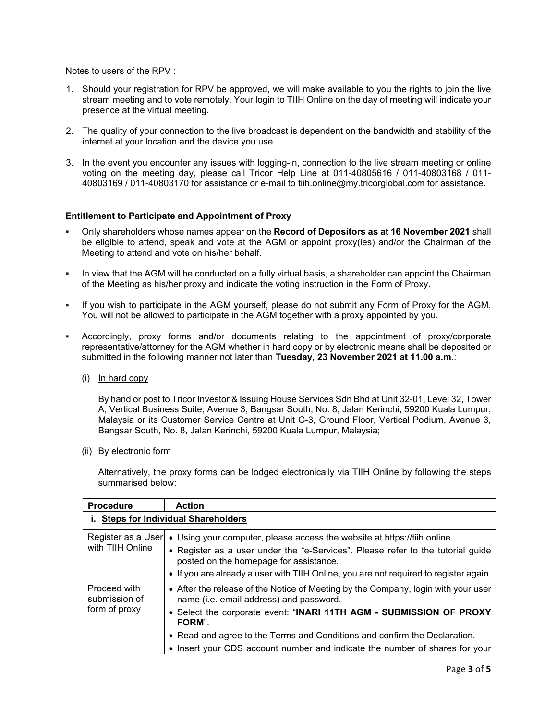Notes to users of the RPV :

- 1. Should your registration for RPV be approved, we will make available to you the rights to join the live stream meeting and to vote remotely. Your login to TIIH Online on the day of meeting will indicate your presence at the virtual meeting.
- 2. The quality of your connection to the live broadcast is dependent on the bandwidth and stability of the internet at your location and the device you use.
- 3. In the event you encounter any issues with logging-in, connection to the live stream meeting or online voting on the meeting day, please call Tricor Help Line at 011-40805616 / 011-40803168 / 011- 40803169 / 011-40803170 for assistance or e-mail to tiih.online@my.tricorglobal.com for assistance.

### **Entitlement to Participate and Appointment of Proxy**

- Only shareholders whose names appear on the **Record of Depositors as at 16 November 2021** shall be eligible to attend, speak and vote at the AGM or appoint proxy(ies) and/or the Chairman of the Meeting to attend and vote on his/her behalf.
- In view that the AGM will be conducted on a fully virtual basis, a shareholder can appoint the Chairman of the Meeting as his/her proxy and indicate the voting instruction in the Form of Proxy.
- If you wish to participate in the AGM yourself, please do not submit any Form of Proxy for the AGM. You will not be allowed to participate in the AGM together with a proxy appointed by you.
- Accordingly, proxy forms and/or documents relating to the appointment of proxy/corporate representative/attorney for the AGM whether in hard copy or by electronic means shall be deposited or submitted in the following manner not later than **Tuesday, 23 November 2021 at 11.00 a.m.**:
	- (i) In hard copy

By hand or post to Tricor Investor & Issuing House Services Sdn Bhd at Unit 32-01, Level 32, Tower A, Vertical Business Suite, Avenue 3, Bangsar South, No. 8, Jalan Kerinchi, 59200 Kuala Lumpur, Malaysia or its Customer Service Centre at Unit G-3, Ground Floor, Vertical Podium, Avenue 3, Bangsar South, No. 8, Jalan Kerinchi, 59200 Kuala Lumpur, Malaysia;

(ii) By electronic form

Alternatively, the proxy forms can be lodged electronically via TIIH Online by following the steps summarised below:

| <b>Procedure</b>                               | <b>Action</b>                                                                                                                                                                                                                                                                                                                                                             |  |
|------------------------------------------------|---------------------------------------------------------------------------------------------------------------------------------------------------------------------------------------------------------------------------------------------------------------------------------------------------------------------------------------------------------------------------|--|
| i. Steps for Individual Shareholders           |                                                                                                                                                                                                                                                                                                                                                                           |  |
| Register as a User<br>with TIIH Online         | • Using your computer, please access the website at https://tiih.online.<br>• Register as a user under the "e-Services". Please refer to the tutorial guide<br>posted on the homepage for assistance.<br>• If you are already a user with TIIH Online, you are not required to register again.                                                                            |  |
| Proceed with<br>submission of<br>form of proxy | • After the release of the Notice of Meeting by the Company, login with your user<br>name (i.e. email address) and password.<br>• Select the corporate event: "INARI 11TH AGM - SUBMISSION OF PROXY<br>FORM".<br>• Read and agree to the Terms and Conditions and confirm the Declaration.<br>• Insert your CDS account number and indicate the number of shares for your |  |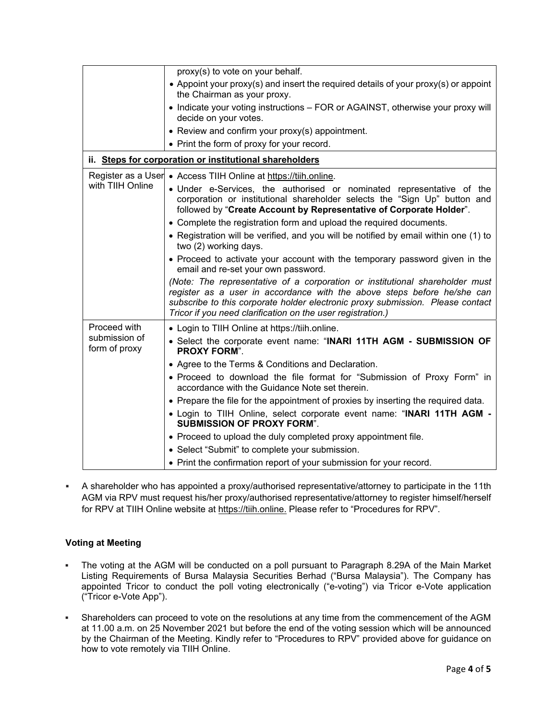|                                                         | proxy(s) to vote on your behalf.                                                                                                                                                                                                                                                                                                                                                                                                                                                                                                                                                                                                                                                                                                                                                                                                                                                                    |  |
|---------------------------------------------------------|-----------------------------------------------------------------------------------------------------------------------------------------------------------------------------------------------------------------------------------------------------------------------------------------------------------------------------------------------------------------------------------------------------------------------------------------------------------------------------------------------------------------------------------------------------------------------------------------------------------------------------------------------------------------------------------------------------------------------------------------------------------------------------------------------------------------------------------------------------------------------------------------------------|--|
|                                                         | • Appoint your proxy(s) and insert the required details of your proxy(s) or appoint<br>the Chairman as your proxy.                                                                                                                                                                                                                                                                                                                                                                                                                                                                                                                                                                                                                                                                                                                                                                                  |  |
|                                                         | • Indicate your voting instructions - FOR or AGAINST, otherwise your proxy will<br>decide on your votes.                                                                                                                                                                                                                                                                                                                                                                                                                                                                                                                                                                                                                                                                                                                                                                                            |  |
|                                                         | • Review and confirm your proxy(s) appointment.                                                                                                                                                                                                                                                                                                                                                                                                                                                                                                                                                                                                                                                                                                                                                                                                                                                     |  |
|                                                         | • Print the form of proxy for your record.                                                                                                                                                                                                                                                                                                                                                                                                                                                                                                                                                                                                                                                                                                                                                                                                                                                          |  |
| ii. Steps for corporation or institutional shareholders |                                                                                                                                                                                                                                                                                                                                                                                                                                                                                                                                                                                                                                                                                                                                                                                                                                                                                                     |  |
| Register as a User<br>with TIIH Online                  | • Access TIIH Online at https://tiih.online.<br>· Under e-Services, the authorised or nominated representative of the<br>corporation or institutional shareholder selects the "Sign Up" button and<br>followed by "Create Account by Representative of Corporate Holder".<br>• Complete the registration form and upload the required documents.<br>• Registration will be verified, and you will be notified by email within one (1) to<br>two (2) working days.<br>• Proceed to activate your account with the temporary password given in the<br>email and re-set your own password.<br>(Note: The representative of a corporation or institutional shareholder must<br>register as a user in accordance with the above steps before he/she can<br>subscribe to this corporate holder electronic proxy submission. Please contact<br>Tricor if you need clarification on the user registration.) |  |
| Proceed with<br>submission of<br>form of proxy          | • Login to TIIH Online at https://tiih.online.<br>• Select the corporate event name: "INARI 11TH AGM - SUBMISSION OF<br><b>PROXY FORM".</b><br>• Agree to the Terms & Conditions and Declaration.<br>• Proceed to download the file format for "Submission of Proxy Form" in<br>accordance with the Guidance Note set therein.<br>• Prepare the file for the appointment of proxies by inserting the required data.<br>. Login to TIIH Online, select corporate event name: "INARI 11TH AGM -<br><b>SUBMISSION OF PROXY FORM".</b><br>• Proceed to upload the duly completed proxy appointment file.<br>• Select "Submit" to complete your submission.<br>• Print the confirmation report of your submission for your record.                                                                                                                                                                       |  |

 A shareholder who has appointed a proxy/authorised representative/attorney to participate in the 11th AGM via RPV must request his/her proxy/authorised representative/attorney to register himself/herself for RPV at TIIH Online website at https://tiih.online. Please refer to "Procedures for RPV".

# **Voting at Meeting**

- The voting at the AGM will be conducted on a poll pursuant to Paragraph 8.29A of the Main Market Listing Requirements of Bursa Malaysia Securities Berhad ("Bursa Malaysia"). The Company has appointed Tricor to conduct the poll voting electronically ("e-voting") via Tricor e-Vote application ("Tricor e-Vote App").
- Shareholders can proceed to vote on the resolutions at any time from the commencement of the AGM at 11.00 a.m. on 25 November 2021 but before the end of the voting session which will be announced by the Chairman of the Meeting. Kindly refer to "Procedures to RPV" provided above for guidance on how to vote remotely via TIIH Online.